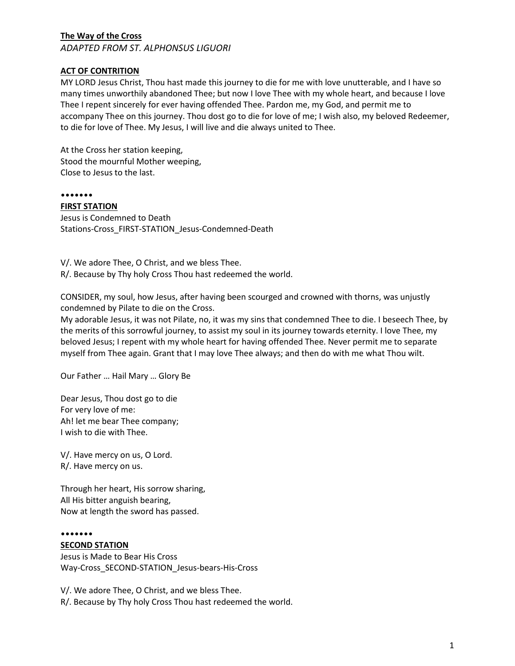# **The Way of the Cross**

*ADAPTED FROM ST. ALPHONSUS LIGUORI*

## **ACT OF CONTRITION**

MY LORD Jesus Christ, Thou hast made this journey to die for me with love unutterable, and I have so many times unworthily abandoned Thee; but now I love Thee with my whole heart, and because I love Thee I repent sincerely for ever having offended Thee. Pardon me, my God, and permit me to accompany Thee on this journey. Thou dost go to die for love of me; I wish also, my beloved Redeemer, to die for love of Thee. My Jesus, I will live and die always united to Thee.

At the Cross her station keeping, Stood the mournful Mother weeping, Close to Jesus to the last.

### •••••••

**FIRST STATION** Jesus is Condemned to Death Stations-Cross\_FIRST-STATION\_Jesus-Condemned-Death

V/. We adore Thee, O Christ, and we bless Thee. R/. Because by Thy holy Cross Thou hast redeemed the world.

CONSIDER, my soul, how Jesus, after having been scourged and crowned with thorns, was unjustly condemned by Pilate to die on the Cross.

My adorable Jesus, it was not Pilate, no, it was my sins that condemned Thee to die. I beseech Thee, by the merits of this sorrowful journey, to assist my soul in its journey towards eternity. I love Thee, my beloved Jesus; I repent with my whole heart for having offended Thee. Never permit me to separate myself from Thee again. Grant that I may love Thee always; and then do with me what Thou wilt.

Our Father … Hail Mary … Glory Be

Dear Jesus, Thou dost go to die For very love of me: Ah! let me bear Thee company; I wish to die with Thee.

V/. Have mercy on us, O Lord. R/. Have mercy on us.

Through her heart, His sorrow sharing, All His bitter anguish bearing, Now at length the sword has passed.

#### •••••••

### **SECOND STATION**

Jesus is Made to Bear His Cross Way-Cross\_SECOND-STATION\_Jesus-bears-His-Cross

V/. We adore Thee, O Christ, and we bless Thee. R/. Because by Thy holy Cross Thou hast redeemed the world.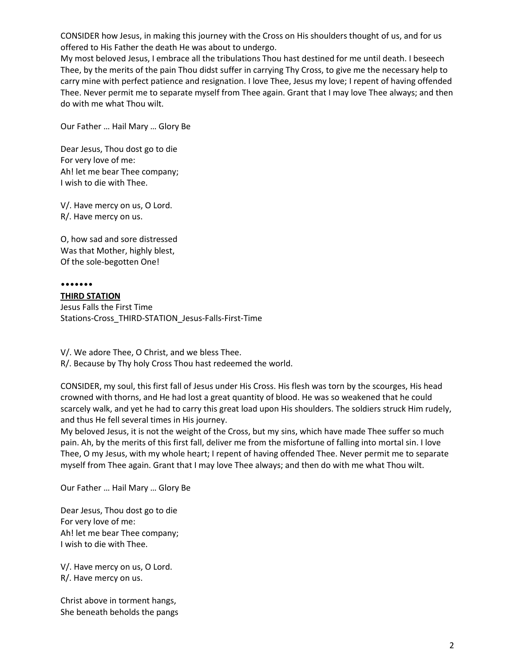CONSIDER how Jesus, in making this journey with the Cross on His shoulders thought of us, and for us offered to His Father the death He was about to undergo.

My most beloved Jesus, I embrace all the tribulations Thou hast destined for me until death. I beseech Thee, by the merits of the pain Thou didst suffer in carrying Thy Cross, to give me the necessary help to carry mine with perfect patience and resignation. I love Thee, Jesus my love; I repent of having offended Thee. Never permit me to separate myself from Thee again. Grant that I may love Thee always; and then do with me what Thou wilt.

Our Father … Hail Mary … Glory Be

Dear Jesus, Thou dost go to die For very love of me: Ah! let me bear Thee company; I wish to die with Thee.

V/. Have mercy on us, O Lord. R/. Have mercy on us.

O, how sad and sore distressed Was that Mother, highly blest, Of the sole-begotten One!

### •••••••

### **THIRD STATION**

Jesus Falls the First Time Stations-Cross\_THIRD-STATION\_Jesus-Falls-First-Time

V/. We adore Thee, O Christ, and we bless Thee. R/. Because by Thy holy Cross Thou hast redeemed the world.

CONSIDER, my soul, this first fall of Jesus under His Cross. His flesh was torn by the scourges, His head crowned with thorns, and He had lost a great quantity of blood. He was so weakened that he could scarcely walk, and yet he had to carry this great load upon His shoulders. The soldiers struck Him rudely, and thus He fell several times in His journey.

My beloved Jesus, it is not the weight of the Cross, but my sins, which have made Thee suffer so much pain. Ah, by the merits of this first fall, deliver me from the misfortune of falling into mortal sin. I love Thee, O my Jesus, with my whole heart; I repent of having offended Thee. Never permit me to separate myself from Thee again. Grant that I may love Thee always; and then do with me what Thou wilt.

Our Father … Hail Mary … Glory Be

Dear Jesus, Thou dost go to die For very love of me: Ah! let me bear Thee company; I wish to die with Thee.

V/. Have mercy on us, O Lord. R/. Have mercy on us.

Christ above in torment hangs, She beneath beholds the pangs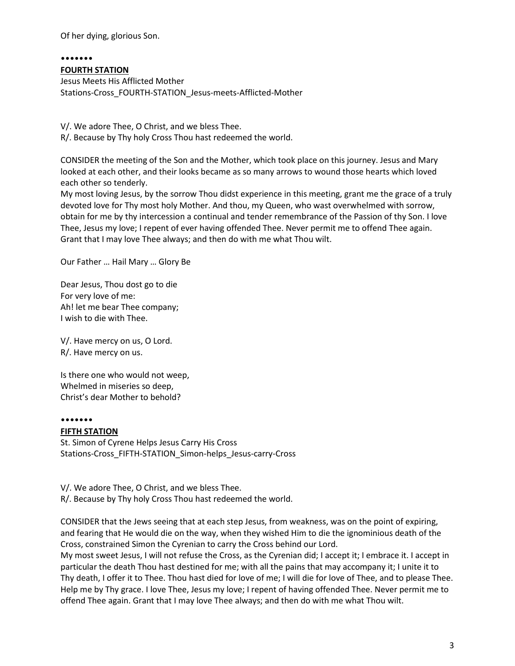Of her dying, glorious Son.

### •••••••

**FOURTH STATION**

Jesus Meets His Afflicted Mother

Stations-Cross\_FOURTH-STATION\_Jesus-meets-Afflicted-Mother

V/. We adore Thee, O Christ, and we bless Thee. R/. Because by Thy holy Cross Thou hast redeemed the world.

CONSIDER the meeting of the Son and the Mother, which took place on this journey. Jesus and Mary looked at each other, and their looks became as so many arrows to wound those hearts which loved each other so tenderly.

My most loving Jesus, by the sorrow Thou didst experience in this meeting, grant me the grace of a truly devoted love for Thy most holy Mother. And thou, my Queen, who wast overwhelmed with sorrow, obtain for me by thy intercession a continual and tender remembrance of the Passion of thy Son. I love Thee, Jesus my love; I repent of ever having offended Thee. Never permit me to offend Thee again. Grant that I may love Thee always; and then do with me what Thou wilt.

Our Father … Hail Mary … Glory Be

Dear Jesus, Thou dost go to die For very love of me: Ah! let me bear Thee company; I wish to die with Thee.

V/. Have mercy on us, O Lord. R/. Have mercy on us.

Is there one who would not weep, Whelmed in miseries so deep, Christ's dear Mother to behold?

### •••••••

### **FIFTH STATION**

St. Simon of Cyrene Helps Jesus Carry His Cross Stations-Cross\_FIFTH-STATION\_Simon-helps\_Jesus-carry-Cross

V/. We adore Thee, O Christ, and we bless Thee. R/. Because by Thy holy Cross Thou hast redeemed the world.

CONSIDER that the Jews seeing that at each step Jesus, from weakness, was on the point of expiring, and fearing that He would die on the way, when they wished Him to die the ignominious death of the Cross, constrained Simon the Cyrenian to carry the Cross behind our Lord.

My most sweet Jesus, I will not refuse the Cross, as the Cyrenian did; I accept it; I embrace it. I accept in particular the death Thou hast destined for me; with all the pains that may accompany it; I unite it to Thy death, I offer it to Thee. Thou hast died for love of me; I will die for love of Thee, and to please Thee. Help me by Thy grace. I love Thee, Jesus my love; I repent of having offended Thee. Never permit me to offend Thee again. Grant that I may love Thee always; and then do with me what Thou wilt.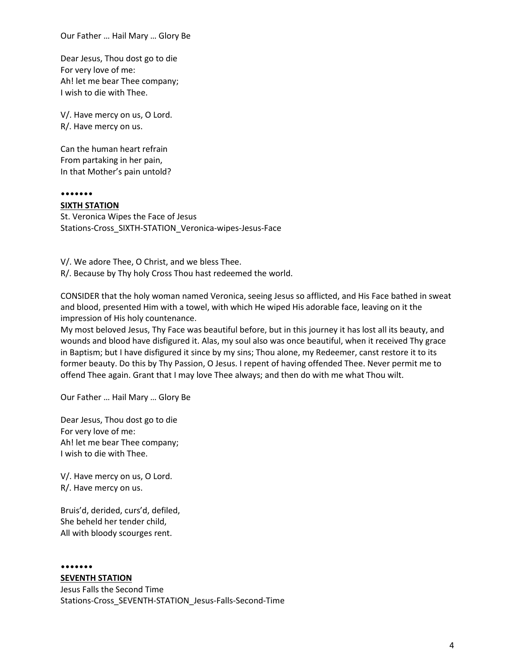Our Father … Hail Mary … Glory Be

Dear Jesus, Thou dost go to die For very love of me: Ah! let me bear Thee company; I wish to die with Thee.

V/. Have mercy on us, O Lord. R/. Have mercy on us.

Can the human heart refrain From partaking in her pain, In that Mother's pain untold?

# •••••••

**SIXTH STATION**

St. Veronica Wipes the Face of Jesus Stations-Cross\_SIXTH-STATION\_Veronica-wipes-Jesus-Face

V/. We adore Thee, O Christ, and we bless Thee. R/. Because by Thy holy Cross Thou hast redeemed the world.

CONSIDER that the holy woman named Veronica, seeing Jesus so afflicted, and His Face bathed in sweat and blood, presented Him with a towel, with which He wiped His adorable face, leaving on it the impression of His holy countenance.

My most beloved Jesus, Thy Face was beautiful before, but in this journey it has lost all its beauty, and wounds and blood have disfigured it. Alas, my soul also was once beautiful, when it received Thy grace in Baptism; but I have disfigured it since by my sins; Thou alone, my Redeemer, canst restore it to its former beauty. Do this by Thy Passion, O Jesus. I repent of having offended Thee. Never permit me to offend Thee again. Grant that I may love Thee always; and then do with me what Thou wilt.

Our Father … Hail Mary … Glory Be

Dear Jesus, Thou dost go to die For very love of me: Ah! let me bear Thee company; I wish to die with Thee.

V/. Have mercy on us, O Lord. R/. Have mercy on us.

Bruis'd, derided, curs'd, defiled, She beheld her tender child, All with bloody scourges rent.

••••••• **SEVENTH STATION** Jesus Falls the Second Time Stations-Cross\_SEVENTH-STATION\_Jesus-Falls-Second-Time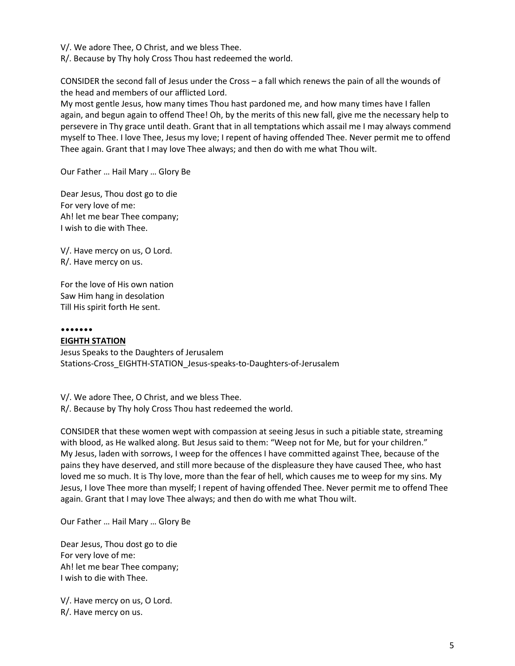V/. We adore Thee, O Christ, and we bless Thee.

R/. Because by Thy holy Cross Thou hast redeemed the world.

CONSIDER the second fall of Jesus under the Cross – a fall which renews the pain of all the wounds of the head and members of our afflicted Lord.

My most gentle Jesus, how many times Thou hast pardoned me, and how many times have I fallen again, and begun again to offend Thee! Oh, by the merits of this new fall, give me the necessary help to persevere in Thy grace until death. Grant that in all temptations which assail me I may always commend myself to Thee. I love Thee, Jesus my love; I repent of having offended Thee. Never permit me to offend Thee again. Grant that I may love Thee always; and then do with me what Thou wilt.

Our Father … Hail Mary … Glory Be

Dear Jesus, Thou dost go to die For very love of me: Ah! let me bear Thee company; I wish to die with Thee.

V/. Have mercy on us, O Lord. R/. Have mercy on us.

For the love of His own nation Saw Him hang in desolation Till His spirit forth He sent.

### •••••••

## **EIGHTH STATION**

Jesus Speaks to the Daughters of Jerusalem Stations-Cross\_EIGHTH-STATION\_Jesus-speaks-to-Daughters-of-Jerusalem

V/. We adore Thee, O Christ, and we bless Thee. R/. Because by Thy holy Cross Thou hast redeemed the world.

CONSIDER that these women wept with compassion at seeing Jesus in such a pitiable state, streaming with blood, as He walked along. But Jesus said to them: "Weep not for Me, but for your children." My Jesus, laden with sorrows, I weep for the offences I have committed against Thee, because of the pains they have deserved, and still more because of the displeasure they have caused Thee, who hast loved me so much. It is Thy love, more than the fear of hell, which causes me to weep for my sins. My Jesus, I love Thee more than myself; I repent of having offended Thee. Never permit me to offend Thee again. Grant that I may love Thee always; and then do with me what Thou wilt.

Our Father … Hail Mary … Glory Be

Dear Jesus, Thou dost go to die For very love of me: Ah! let me bear Thee company; I wish to die with Thee.

V/. Have mercy on us, O Lord. R/. Have mercy on us.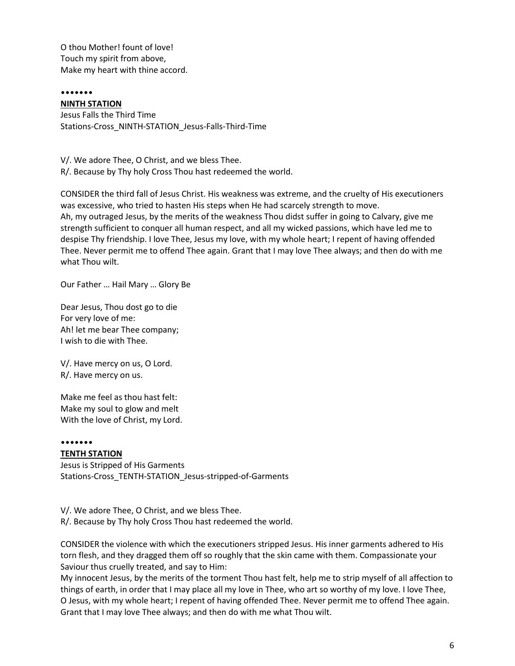O thou Mother! fount of love! Touch my spirit from above, Make my heart with thine accord.

•••••••

### **NINTH STATION**

Jesus Falls the Third Time Stations-Cross\_NINTH-STATION\_Jesus-Falls-Third-Time

V/. We adore Thee, O Christ, and we bless Thee. R/. Because by Thy holy Cross Thou hast redeemed the world.

CONSIDER the third fall of Jesus Christ. His weakness was extreme, and the cruelty of His executioners was excessive, who tried to hasten His steps when He had scarcely strength to move. Ah, my outraged Jesus, by the merits of the weakness Thou didst suffer in going to Calvary, give me strength sufficient to conquer all human respect, and all my wicked passions, which have led me to despise Thy friendship. I love Thee, Jesus my love, with my whole heart; I repent of having offended Thee. Never permit me to offend Thee again. Grant that I may love Thee always; and then do with me what Thou wilt.

Our Father … Hail Mary … Glory Be

Dear Jesus, Thou dost go to die For very love of me: Ah! let me bear Thee company; I wish to die with Thee.

V/. Have mercy on us, O Lord. R/. Have mercy on us.

Make me feel as thou hast felt: Make my soul to glow and melt With the love of Christ, my Lord.

## •••••••

**TENTH STATION** Jesus is Stripped of His Garments Stations-Cross\_TENTH-STATION\_Jesus-stripped-of-Garments

V/. We adore Thee, O Christ, and we bless Thee. R/. Because by Thy holy Cross Thou hast redeemed the world.

CONSIDER the violence with which the executioners stripped Jesus. His inner garments adhered to His torn flesh, and they dragged them off so roughly that the skin came with them. Compassionate your Saviour thus cruelly treated, and say to Him:

My innocent Jesus, by the merits of the torment Thou hast felt, help me to strip myself of all affection to things of earth, in order that I may place all my love in Thee, who art so worthy of my love. I love Thee, O Jesus, with my whole heart; I repent of having offended Thee. Never permit me to offend Thee again. Grant that I may love Thee always; and then do with me what Thou wilt.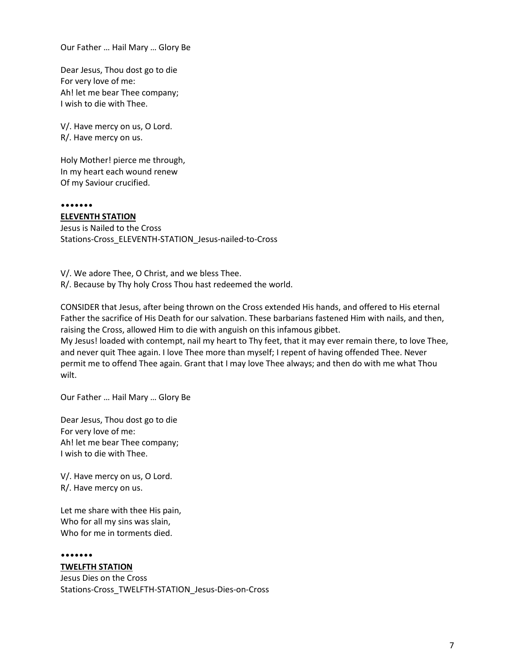Our Father … Hail Mary … Glory Be

Dear Jesus, Thou dost go to die For very love of me: Ah! let me bear Thee company; I wish to die with Thee.

V/. Have mercy on us, O Lord. R/. Have mercy on us.

Holy Mother! pierce me through, In my heart each wound renew Of my Saviour crucified.

•••••••

## **ELEVENTH STATION**

Jesus is Nailed to the Cross Stations-Cross\_ELEVENTH-STATION\_Jesus-nailed-to-Cross

V/. We adore Thee, O Christ, and we bless Thee. R/. Because by Thy holy Cross Thou hast redeemed the world.

CONSIDER that Jesus, after being thrown on the Cross extended His hands, and offered to His eternal Father the sacrifice of His Death for our salvation. These barbarians fastened Him with nails, and then, raising the Cross, allowed Him to die with anguish on this infamous gibbet. My Jesus! loaded with contempt, nail my heart to Thy feet, that it may ever remain there, to love Thee, and never quit Thee again. I love Thee more than myself; I repent of having offended Thee. Never permit me to offend Thee again. Grant that I may love Thee always; and then do with me what Thou wilt.

Our Father … Hail Mary … Glory Be

Dear Jesus, Thou dost go to die For very love of me: Ah! let me bear Thee company; I wish to die with Thee.

V/. Have mercy on us, O Lord. R/. Have mercy on us.

Let me share with thee His pain, Who for all my sins was slain, Who for me in torments died.

••••••• **TWELFTH STATION** Jesus Dies on the Cross Stations-Cross\_TWELFTH-STATION\_Jesus-Dies-on-Cross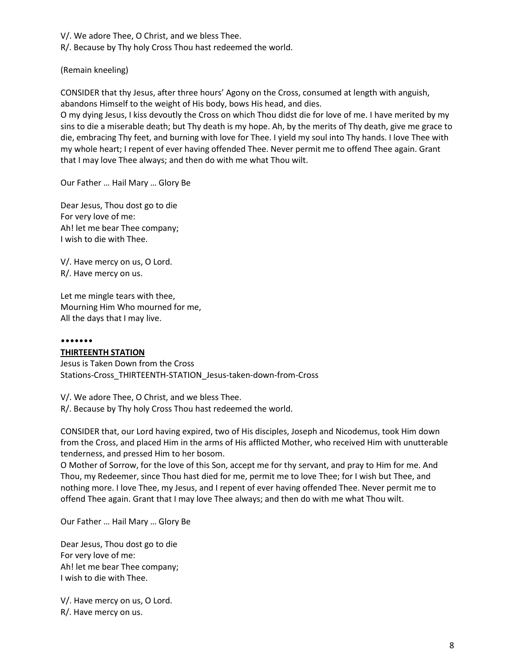V/. We adore Thee, O Christ, and we bless Thee.

R/. Because by Thy holy Cross Thou hast redeemed the world.

(Remain kneeling)

CONSIDER that thy Jesus, after three hours' Agony on the Cross, consumed at length with anguish, abandons Himself to the weight of His body, bows His head, and dies.

O my dying Jesus, I kiss devoutly the Cross on which Thou didst die for love of me. I have merited by my sins to die a miserable death; but Thy death is my hope. Ah, by the merits of Thy death, give me grace to die, embracing Thy feet, and burning with love for Thee. I yield my soul into Thy hands. I love Thee with my whole heart; I repent of ever having offended Thee. Never permit me to offend Thee again. Grant that I may love Thee always; and then do with me what Thou wilt.

Our Father … Hail Mary … Glory Be

Dear Jesus, Thou dost go to die For very love of me: Ah! let me bear Thee company; I wish to die with Thee.

V/. Have mercy on us, O Lord. R/. Have mercy on us.

Let me mingle tears with thee, Mourning Him Who mourned for me, All the days that I may live.

### •••••••

### **THIRTEENTH STATION**

Jesus is Taken Down from the Cross Stations-Cross\_THIRTEENTH-STATION\_Jesus-taken-down-from-Cross

V/. We adore Thee, O Christ, and we bless Thee. R/. Because by Thy holy Cross Thou hast redeemed the world.

CONSIDER that, our Lord having expired, two of His disciples, Joseph and Nicodemus, took Him down from the Cross, and placed Him in the arms of His afflicted Mother, who received Him with unutterable tenderness, and pressed Him to her bosom.

O Mother of Sorrow, for the love of this Son, accept me for thy servant, and pray to Him for me. And Thou, my Redeemer, since Thou hast died for me, permit me to love Thee; for I wish but Thee, and nothing more. I love Thee, my Jesus, and I repent of ever having offended Thee. Never permit me to offend Thee again. Grant that I may love Thee always; and then do with me what Thou wilt.

Our Father … Hail Mary … Glory Be

Dear Jesus, Thou dost go to die For very love of me: Ah! let me bear Thee company; I wish to die with Thee.

V/. Have mercy on us, O Lord. R/. Have mercy on us.